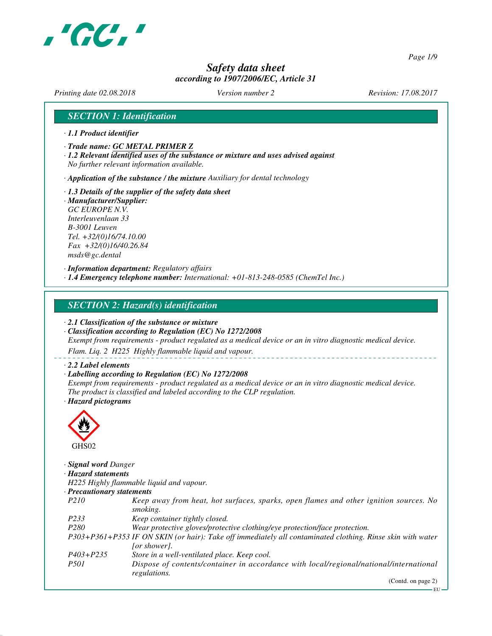

*Page 1/9*

# *Safety data sheet according to 1907/2006/EC, Article 31*

*Printing date 02.08.2018 Version number 2 Revision: 17.08.2017*

# *SECTION 1: Identification*

- *· 1.1 Product identifier*
- *· Trade name: GC METAL PRIMER Z*
- *· 1.2 Relevant identified uses of the substance or mixture and uses advised against No further relevant information available.*

*· Application of the substance / the mixture Auxiliary for dental technology*

- *· 1.3 Details of the supplier of the safety data sheet · Manufacturer/Supplier:*
- *GC EUROPE N.V. Interleuvenlaan 33 B-3001 Leuven Tel. +32/(0)16/74.10.00 Fax +32/(0)16/40.26.84 msds@gc.dental*

*· Information department: Regulatory affairs · 1.4 Emergency telephone number: International: +01-813-248-0585 (ChemTel Inc.)*

## *SECTION 2: Hazard(s) identification*

*· 2.1 Classification of the substance or mixture*

*· Classification according to Regulation (EC) No 1272/2008 Exempt from requirements - product regulated as a medical device or an in vitro diagnostic medical device.*

*Flam. Liq. 2 H225 Highly flammable liquid and vapour.*

#### *· 2.2 Label elements*

*· Labelling according to Regulation (EC) No 1272/2008*

*Exempt from requirements - product regulated as a medical device or an in vitro diagnostic medical device. The product is classified and labeled according to the CLP regulation. · Hazard pictograms*



*· Signal word Danger · Hazard statements H225 Highly flammable liquid and vapour. · Precautionary statements P210 Keep away from heat, hot surfaces, sparks, open flames and other ignition sources. No smoking. P233 Keep container tightly closed. P280 Wear protective gloves/protective clothing/eye protection/face protection. P303+P361+P353 IF ON SKIN (or hair): Take off immediately all contaminated clothing. Rinse skin with water [or shower]. P403+P235 Store in a well-ventilated place. Keep cool. P501 Dispose of contents/container in accordance with local/regional/national/international regulations.*

(Contd. on page 2)

EU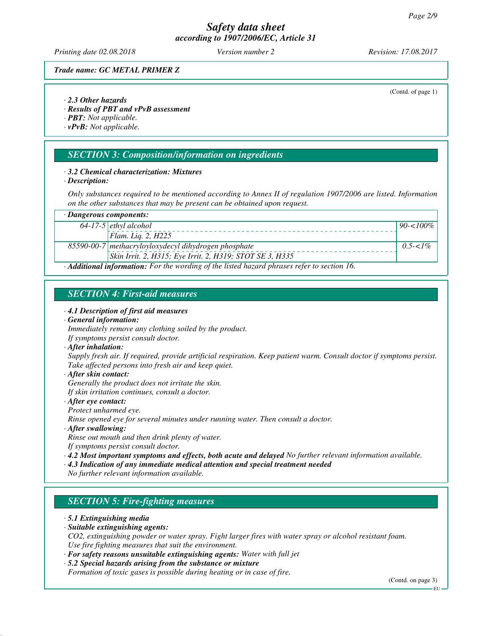*Printing date 02.08.2018 Version number 2 Revision: 17.08.2017*

(Contd. of page 1)

*Trade name: GC METAL PRIMER Z*

#### *· 2.3 Other hazards*

*· Results of PBT and vPvB assessment*

*· PBT: Not applicable.*

*· vPvB: Not applicable.*

# *SECTION 3: Composition/information on ingredients*

## *· 3.2 Chemical characterization: Mixtures*

*· Description:*

*Only substances required to be mentioned according to Annex II of regulation 1907/2006 are listed. Information on the other substances that may be present can be obtained upon request.*

| $\cdot$ Dangerous components:<br>64-17-5 ethyl alcohol |                                                                                                          |              |
|--------------------------------------------------------|----------------------------------------------------------------------------------------------------------|--------------|
|                                                        |                                                                                                          | $90 - 100\%$ |
|                                                        | Flam. Lig. 2, $H225$                                                                                     |              |
|                                                        | 85590-00-7 methacryloyloxydecyl dihydrogen phosphate                                                     | $0.5 - 1\%$  |
|                                                        | Skin Irrit. 2, H315; Eye Irrit. 2, H319; STOT SE 3, H335                                                 |              |
|                                                        | $\cdot$ <b>Additional information:</b> For the wording of the listed hazard phrases refer to section 16. |              |

# *SECTION 4: First-aid measures*

#### *· 4.1 Description of first aid measures*

#### *· General information:*

*Immediately remove any clothing soiled by the product. If symptoms persist consult doctor.*

#### *· After inhalation:*

*Supply fresh air. If required, provide artificial respiration. Keep patient warm. Consult doctor if symptoms persist. Take affected persons into fresh air and keep quiet.*

#### *· After skin contact: Generally the product does not irritate the skin. If skin irritation continues, consult a doctor.*

#### *· After eye contact: Protect unharmed eye.*

*Rinse opened eye for several minutes under running water. Then consult a doctor.*

*· After swallowing:*

*Rinse out mouth and then drink plenty of water. If symptoms persist consult doctor.*

*· 4.2 Most important symptoms and effects, both acute and delayed No further relevant information available.*

- *· 4.3 Indication of any immediate medical attention and special treatment needed*
- *No further relevant information available.*

# *SECTION 5: Fire-fighting measures*

#### *· 5.1 Extinguishing media*

## *· Suitable extinguishing agents:*

*CO2, extinguishing powder or water spray. Fight larger fires with water spray or alcohol resistant foam. Use fire fighting measures that suit the environment.*

*· For safety reasons unsuitable extinguishing agents: Water with full jet*

#### *· 5.2 Special hazards arising from the substance or mixture Formation of toxic gases is possible during heating or in case of fire.*

(Contd. on page 3)

EU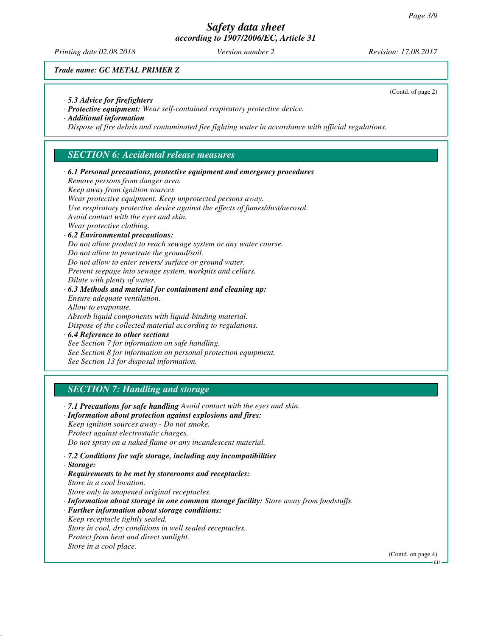*Printing date 02.08.2018 Version number 2 Revision: 17.08.2017*

(Contd. of page 2)

*Trade name: GC METAL PRIMER Z*

- *· 5.3 Advice for firefighters*
- *· Protective equipment: Wear self-contained respiratory protective device.*

*· Additional information*

*Dispose of fire debris and contaminated fire fighting water in accordance with official regulations.*

# *SECTION 6: Accidental release measures*

| $\cdot$ 6.1 Personal precautions, protective equipment and emergency procedures |
|---------------------------------------------------------------------------------|
| Remove persons from danger area.                                                |
| Keep away from ignition sources                                                 |
| Wear protective equipment. Keep unprotected persons away.                       |
| Use respiratory protective device against the effects of fumes/dust/aerosol.    |
| Avoid contact with the eyes and skin.                                           |
| Wear protective clothing.                                                       |
| $\cdot$ 6.2 Environmental precautions:                                          |
| Do not allow product to reach sewage system or any water course.                |
| Do not allow to penetrate the ground/soil.                                      |
| Do not allow to enter sewers/ surface or ground water.                          |
| Prevent seepage into sewage system, workpits and cellars.                       |
| Dilute with plenty of water.                                                    |
| $\cdot$ 6.3 Methods and material for containment and cleaning up:               |
| Ensure adequate ventilation.                                                    |
| Allow to evaporate.                                                             |
| Absorb liquid components with liquid-binding material.                          |
| Dispose of the collected material according to regulations.                     |
| $\cdot$ 6.4 Reference to other sections                                         |
| See Section 7 for information on safe handling.                                 |
| See Section 8 for information on personal protection equipment.                 |
| See Section 13 for disposal information.                                        |
|                                                                                 |
|                                                                                 |
| <b>SECTION 7: Handling and storage</b>                                          |
| .7.1 Precautions for safe handling Avoid contact with the eyes and skin.        |
| · Information about protection against explosions and fires:                    |
| Keep ignition sources away - Do not smoke.                                      |
|                                                                                 |

*Protect against electrostatic charges. Do not spray on a naked flame or any incandescent material.*

- *· 7.2 Conditions for safe storage, including any incompatibilities*
- *· Storage:*
- *· Requirements to be met by storerooms and receptacles: Store in a cool location.*
- *Store only in unopened original receptacles.*

*· Information about storage in one common storage facility: Store away from foodstuffs.*

- *· Further information about storage conditions:*
- *Keep receptacle tightly sealed. Store in cool, dry conditions in well sealed receptacles. Protect from heat and direct sunlight.*

*Store in a cool place.*

(Contd. on page 4)

EU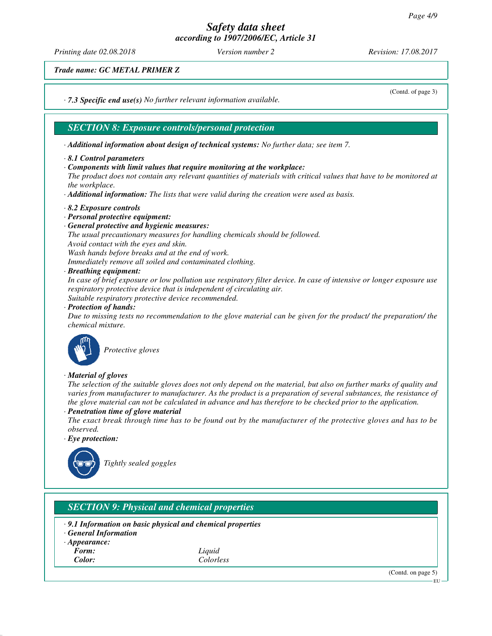*Printing date 02.08.2018 Version number 2 Revision: 17.08.2017*

(Contd. of page 3)

*Trade name: GC METAL PRIMER Z*

*· 7.3 Specific end use(s) No further relevant information available.*

# *SECTION 8: Exposure controls/personal protection*

*· Additional information about design of technical systems: No further data; see item 7.*

- *· 8.1 Control parameters*
- *· Components with limit values that require monitoring at the workplace:*

*The product does not contain any relevant quantities of materials with critical values that have to be monitored at the workplace.*

*· Additional information: The lists that were valid during the creation were used as basis.*

- *· 8.2 Exposure controls*
- *· Personal protective equipment:*
- *· General protective and hygienic measures:*

*The usual precautionary measures for handling chemicals should be followed. Avoid contact with the eyes and skin. Wash hands before breaks and at the end of work.*

*Immediately remove all soiled and contaminated clothing.*

*· Breathing equipment:*

*In case of brief exposure or low pollution use respiratory filter device. In case of intensive or longer exposure use respiratory protective device that is independent of circulating air. Suitable respiratory protective device recommended.*

*· Protection of hands:*

*Due to missing tests no recommendation to the glove material can be given for the product/ the preparation/ the chemical mixture.*



*Protective gloves*

## *· Material of gloves*

*The selection of the suitable gloves does not only depend on the material, but also on further marks of quality and varies from manufacturer to manufacturer. As the product is a preparation of several substances, the resistance of the glove material can not be calculated in advance and has therefore to be checked prior to the application. · Penetration time of glove material*

*The exact break through time has to be found out by the manufacturer of the protective gloves and has to be observed.*

*· Eye protection:*



*Tightly sealed goggles*

# *SECTION 9: Physical and chemical properties*

- *· 9.1 Information on basic physical and chemical properties*
- *· General Information*
- *· Appearance:*
- 
- *Form: Liquid Color: Colorless*

(Contd. on page 5)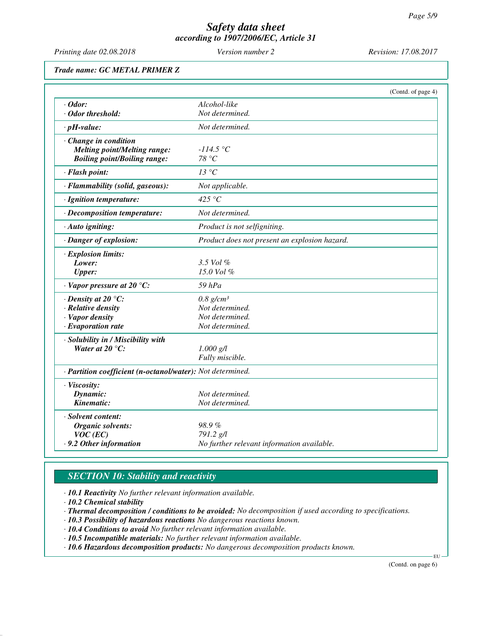*Printing date 02.08.2018 Version number 2 Revision: 17.08.2017*

*Trade name: GC METAL PRIMER Z*

|                                                            |                                               | (Contd. of page 4) |
|------------------------------------------------------------|-----------------------------------------------|--------------------|
| $\cdot$ Odor:                                              | Alcohol-like                                  |                    |
| · Odor threshold:                                          | Not determined.                               |                    |
| $\cdot$ pH-value:                                          | Not determined.                               |                    |
| Change in condition                                        |                                               |                    |
| <b>Melting point/Melting range:</b>                        | $-114.5 °C$                                   |                    |
| <b>Boiling point/Boiling range:</b>                        | 78 °C                                         |                    |
| · Flash point:                                             | 13 °C                                         |                    |
| · Flammability (solid, gaseous):                           | Not applicable.                               |                    |
| · Ignition temperature:                                    | 425 $\degree$ C                               |                    |
| $\cdot$ Decomposition temperature:                         | Not determined.                               |                    |
| $\cdot$ Auto igniting:                                     | Product is not selfigniting.                  |                    |
| · Danger of explosion:                                     | Product does not present an explosion hazard. |                    |
| $\cdot$ Explosion limits:                                  |                                               |                    |
| Lower:                                                     | 3.5 Vol %                                     |                    |
| <b>Upper:</b>                                              | 15.0 Vol $%$                                  |                    |
| $\cdot$ Vapor pressure at 20 °C:                           | $59$ $hPa$                                    |                    |
| $\cdot$ Density at 20 $\degree$ C:                         | $0.8$ g/cm <sup>3</sup>                       |                    |
| · Relative density                                         | Not determined.                               |                    |
| · Vapor density                                            | Not determined.                               |                    |
| $\cdot$ Evaporation rate                                   | Not determined.                               |                    |
| · Solubility in / Miscibility with                         |                                               |                    |
| Water at 20 $\mathrm{^{\circ}C:}$                          | $1.000$ g/l                                   |                    |
|                                                            | Fully miscible.                               |                    |
| · Partition coefficient (n-octanol/water): Not determined. |                                               |                    |
| · Viscosity:                                               |                                               |                    |
| Dynamic:                                                   | Not determined.                               |                    |
| Kinematic:                                                 | Not determined.                               |                    |
| · Solvent content:                                         |                                               |                    |
| Organic solvents:                                          | 98.9%                                         |                    |
| $VOC$ (EC)                                                 | 791.2 g/l                                     |                    |
| .9.2 Other information                                     | No further relevant information available.    |                    |

# *SECTION 10: Stability and reactivity*

*· 10.1 Reactivity No further relevant information available.*

*· 10.2 Chemical stability*

*· Thermal decomposition / conditions to be avoided: No decomposition if used according to specifications.*

*· 10.3 Possibility of hazardous reactions No dangerous reactions known.*

*· 10.4 Conditions to avoid No further relevant information available.*

*· 10.5 Incompatible materials: No further relevant information available.*

*· 10.6 Hazardous decomposition products: No dangerous decomposition products known.*

(Contd. on page 6)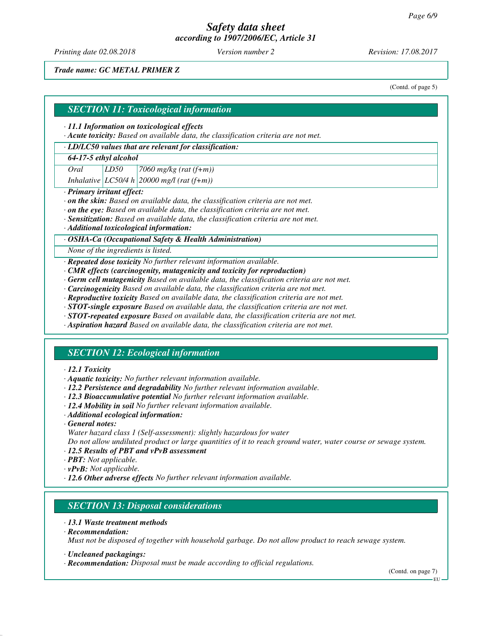*Printing date 02.08.2018 Version number 2 Revision: 17.08.2017*

*Trade name: GC METAL PRIMER Z*

(Contd. of page 5)

## *SECTION 11: Toxicological information*

#### *· 11.1 Information on toxicological effects*

*· Acute toxicity: Based on available data, the classification criteria are not met.*

# *· LD/LC50 values that are relevant for classification:*

## *64-17-5 ethyl alcohol*

*Oral LD50 7060 mg/kg (rat (f+m))*

*Inhalative LC50/4 h 20000 mg/l (rat (f+m))*

## *· Primary irritant effect:*

- *· on the skin: Based on available data, the classification criteria are not met.*
- *· on the eye: Based on available data, the classification criteria are not met.*
- *· Sensitization: Based on available data, the classification criteria are not met.*
- *· Additional toxicological information:*

## *· OSHA-Ca (Occupational Safety & Health Administration)*

*None of the ingredients is listed.*

*· Repeated dose toxicity No further relevant information available.*

- *· CMR effects (carcinogenity, mutagenicity and toxicity for reproduction)*
- *· Germ cell mutagenicity Based on available data, the classification criteria are not met.*
- *· Carcinogenicity Based on available data, the classification criteria are not met.*
- *· Reproductive toxicity Based on available data, the classification criteria are not met.*
- *· STOT-single exposure Based on available data, the classification criteria are not met.*
- *· STOT-repeated exposure Based on available data, the classification criteria are not met.*
- *· Aspiration hazard Based on available data, the classification criteria are not met.*

# *SECTION 12: Ecological information*

## *· 12.1 Toxicity*

- *· Aquatic toxicity: No further relevant information available.*
- *· 12.2 Persistence and degradability No further relevant information available.*
- *· 12.3 Bioaccumulative potential No further relevant information available.*
- *· 12.4 Mobility in soil No further relevant information available.*
- *· Additional ecological information:*
- *· General notes:*
- *Water hazard class 1 (Self-assessment): slightly hazardous for water*

*Do not allow undiluted product or large quantities of it to reach ground water, water course or sewage system. · 12.5 Results of PBT and vPvB assessment*

- *· PBT: Not applicable.*
- *· vPvB: Not applicable.*
- *· 12.6 Other adverse effects No further relevant information available.*

# *SECTION 13: Disposal considerations*

- *· 13.1 Waste treatment methods*
- *· Recommendation: Must not be disposed of together with household garbage. Do not allow product to reach sewage system.*
- *· Uncleaned packagings:*
- *· Recommendation: Disposal must be made according to official regulations.*

(Contd. on page 7)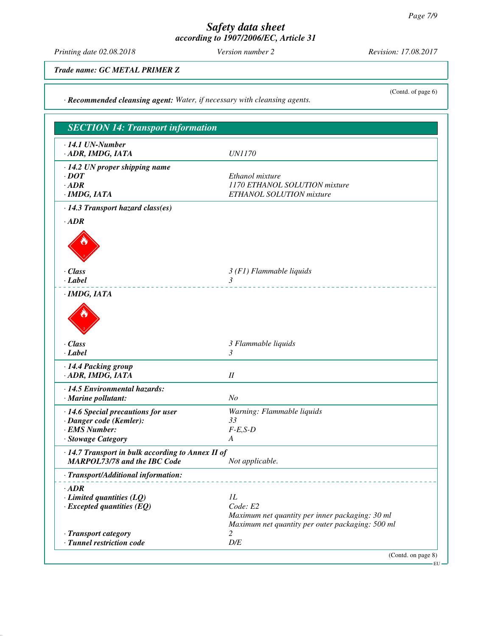*Printing date 02.08.2018 Version number 2 Revision: 17.08.2017*

(Contd. of page 6)

*Trade name: GC METAL PRIMER Z*

*· Recommended cleansing agent: Water, if necessary with cleansing agents.*

| <b>SECTION 14: Transport information</b>          |                                                       |
|---------------------------------------------------|-------------------------------------------------------|
| $\cdot$ 14.1 UN-Number                            |                                                       |
| · ADR, IMDG, IATA                                 | <b>UN1170</b>                                         |
| $\cdot$ 14.2 UN proper shipping name              |                                                       |
| $\cdot$ DOT                                       | Ethanol mixture                                       |
| $\cdot$ ADR                                       | 1170 ETHANOL SOLUTION mixture                         |
| · IMDG, IATA                                      | ETHANOL SOLUTION mixture                              |
| · 14.3 Transport hazard class(es)                 |                                                       |
| $\cdot$ ADR                                       |                                                       |
|                                                   |                                                       |
|                                                   |                                                       |
|                                                   |                                                       |
| $\cdot$ Class                                     | $3(F1)$ Flammable liquids                             |
| · Label                                           | $\mathfrak{Z}$                                        |
| · IMDG, IATA                                      |                                                       |
|                                                   |                                                       |
|                                                   |                                                       |
|                                                   |                                                       |
|                                                   |                                                       |
| $\cdot$ Class                                     | 3 Flammable liquids                                   |
| $\cdot$ <i>Label</i>                              | $\mathfrak{Z}$                                        |
| · 14.4 Packing group                              |                                                       |
| · ADR, IMDG, IATA                                 | $I\!I$                                                |
| · 14.5 Environmental hazards:                     |                                                       |
| $\cdot$ Marine pollutant:                         | N <sub>O</sub>                                        |
| · 14.6 Special precautions for user               | Warning: Flammable liquids                            |
| · Danger code (Kemler):                           | 33                                                    |
| · EMS Number:                                     | $F-E, S-D$                                            |
| · Stowage Category                                | A                                                     |
| · 14.7 Transport in bulk according to Annex II of |                                                       |
| <b>MARPOL73/78 and the IBC Code</b>               | Not applicable.                                       |
| · Transport/Additional information:               |                                                       |
| $\cdot$ ADR                                       |                                                       |
| $\cdot$ Limited quantities (LQ)                   | 1L                                                    |
| $\cdot$ Excepted quantities (EQ)                  | Code: E2                                              |
|                                                   | Maximum net quantity per inner packaging: 30 ml       |
| · Transport category                              | Maximum net quantity per outer packaging: 500 ml<br>2 |
| · Tunnel restriction code                         | $D\!/\!E$                                             |
|                                                   | (Contd. on page 8)                                    |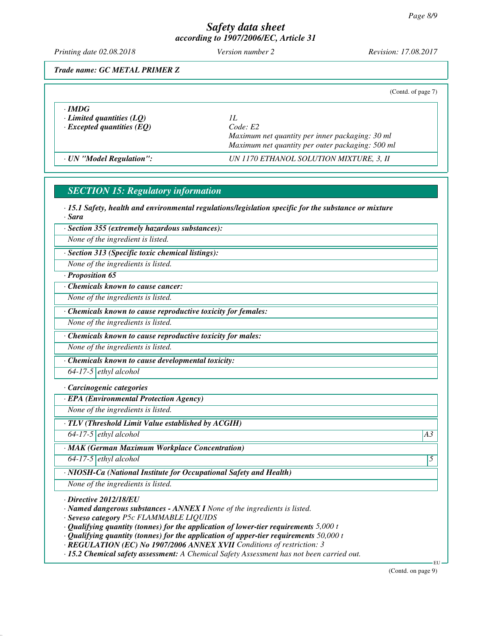*Printing date 02.08.2018 Version number 2 Revision: 17.08.2017*

*Trade name: GC METAL PRIMER Z*

|                                                                                     | (Contd. of page 7)                                                                                                    |
|-------------------------------------------------------------------------------------|-----------------------------------------------------------------------------------------------------------------------|
| $\cdot$ IMDG<br>$\cdot$ Limited quantities (LQ)<br>$\cdot$ Excepted quantities (EQ) | Н.<br>Code: E2<br>Maximum net quantity per inner packaging: 30 ml<br>Maximum net quantity per outer packaging: 500 ml |
| · UN "Model Regulation":                                                            | UN 1170 ETHANOL SOLUTION MIXTURE, 3, II                                                                               |

# *SECTION 15: Regulatory information*

*· 15.1 Safety, health and environmental regulations/legislation specific for the substance or mixture · Sara*

*· Section 355 (extremely hazardous substances):*

*None of the ingredient is listed.*

*· Section 313 (Specific toxic chemical listings):*

*None of the ingredients is listed.*

*· Proposition 65*

*· Chemicals known to cause cancer:*

*None of the ingredients is listed.*

*· Chemicals known to cause reproductive toxicity for females:*

*None of the ingredients is listed.*

*· Chemicals known to cause reproductive toxicity for males:*

*None of the ingredients is listed.*

*· Chemicals known to cause developmental toxicity:*

*64-17-5 ethyl alcohol*

## *· Carcinogenic categories*

*· EPA (Environmental Protection Agency)*

*None of the ingredients is listed.*

*· TLV (Threshold Limit Value established by ACGIH)*

*64-17-5 ethyl alcohol A3*

*· MAK (German Maximum Workplace Concentration)*

*64-17-5 ethyl alcohol 5* 

*· NIOSH-Ca (National Institute for Occupational Safety and Health)*

*None of the ingredients is listed.*

*· Directive 2012/18/EU*

*· Named dangerous substances - ANNEX I None of the ingredients is listed.*

*· Seveso category P5c FLAMMABLE LIQUIDS*

*· Qualifying quantity (tonnes) for the application of lower-tier requirements 5,000 t*

*· Qualifying quantity (tonnes) for the application of upper-tier requirements 50,000 t*

*· REGULATION (EC) No 1907/2006 ANNEX XVII Conditions of restriction: 3*

*· 15.2 Chemical safety assessment: A Chemical Safety Assessment has not been carried out.*

(Contd. on page 9)